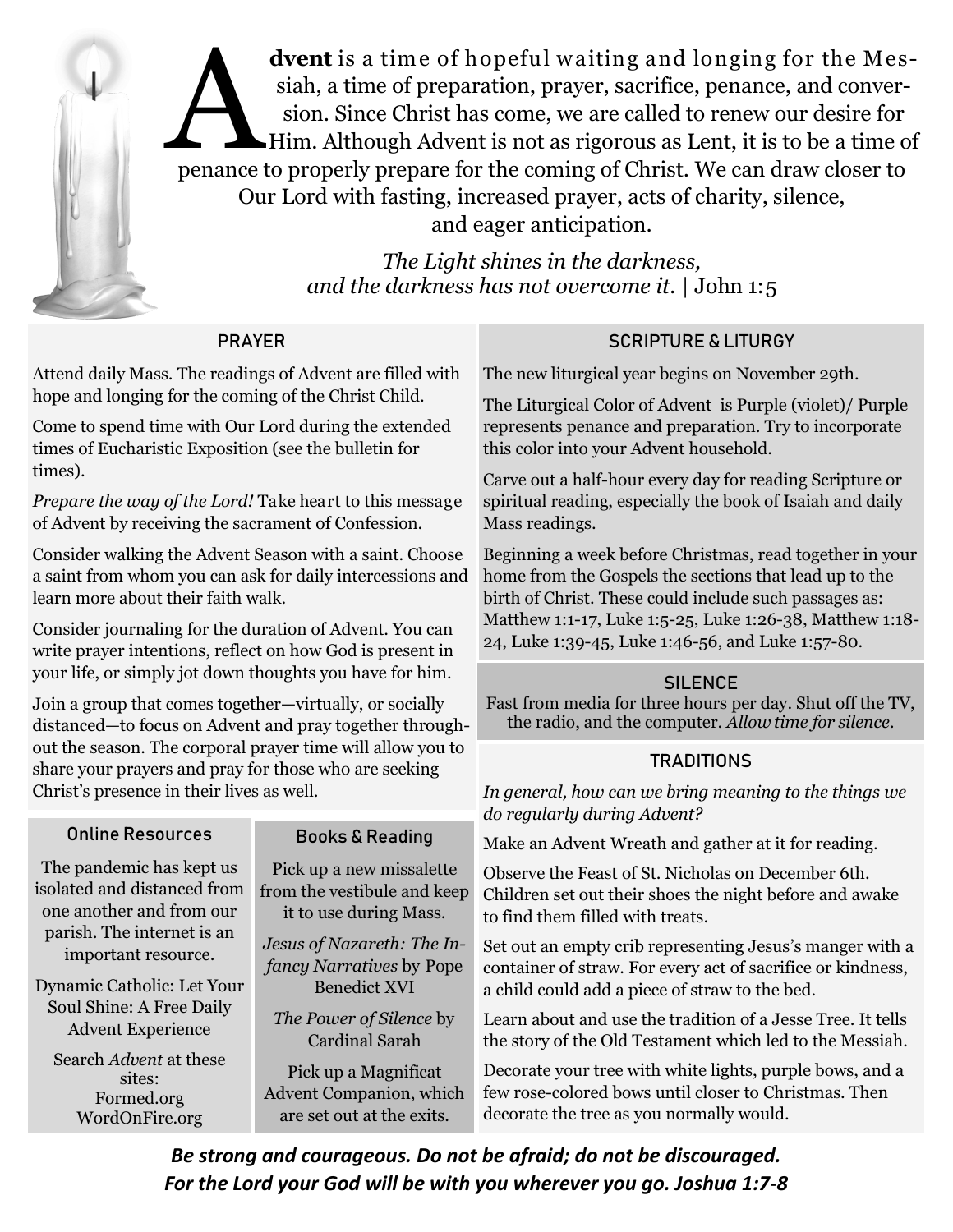

dvent is a time of hopeful waiting and longing for the Messiah, a time of preparation, prayer, sacrifice, penance, and conversion. Since Christ has come, we are called to renew our desire for Him. Although Advent is not as dvent is a time of hopeful waiting and longing for the Messiah, a time of preparation, prayer, sacrifice, penance, and conversion. Since Christ has come, we are called to renew our desire for Him. Although Advent is not as rigorous as Lent, it is to be a time of Our Lord with fasting, increased prayer, acts of charity, silence, and eager anticipation.

> *The Light shines in the darkness, and the darkness has not overcome it. |* John 1:5

| <b>PRAYER</b>                                                                                                                                                                                                                                                                                             |                                                                                   | <b>SCRIPTURE &amp; LITURGY</b>                                                                                                                                               |
|-----------------------------------------------------------------------------------------------------------------------------------------------------------------------------------------------------------------------------------------------------------------------------------------------------------|-----------------------------------------------------------------------------------|------------------------------------------------------------------------------------------------------------------------------------------------------------------------------|
| Attend daily Mass. The readings of Advent are filled with                                                                                                                                                                                                                                                 |                                                                                   | The new liturgical year begins on November 29th.                                                                                                                             |
| hope and longing for the coming of the Christ Child.<br>Come to spend time with Our Lord during the extended<br>times of Eucharistic Exposition (see the bulletin for<br>times).<br><i>Prepare the way of the Lord!</i> Take heart to this message<br>of Advent by receiving the sacrament of Confession. |                                                                                   | The Liturgical Color of Advent is Purple (violet)/ Purple<br>represents penance and preparation. Try to incorporate<br>this color into your Advent household.                |
|                                                                                                                                                                                                                                                                                                           |                                                                                   | Carve out a half-hour every day for reading Scripture or<br>spiritual reading, especially the book of Isaiah and daily<br>Mass readings.                                     |
| Consider walking the Advent Season with a saint. Choose<br>a saint from whom you can ask for daily intercessions and<br>learn more about their faith walk.                                                                                                                                                |                                                                                   | Beginning a week before Christmas, read together in your<br>home from the Gospels the sections that lead up to the<br>birth of Christ. These could include such passages as: |
| Consider journaling for the duration of Advent. You can<br>write prayer intentions, reflect on how God is present in                                                                                                                                                                                      |                                                                                   | Matthew 1:1-17, Luke 1:5-25, Luke 1:26-38, Matthew 1:18-<br>24, Luke 1:39-45, Luke 1:46-56, and Luke 1:57-80.                                                                |
| your life, or simply jot down thoughts you have for him.                                                                                                                                                                                                                                                  |                                                                                   | <b>SILENCE</b><br>Fast from media for three hours per day. Shut off the TV,<br>the radio, and the computer. Allow time for silence.                                          |
| Join a group that comes together—virtually, or socially<br>distanced—to focus on Advent and pray together through-<br>out the season. The corporal prayer time will allow you to<br>share your prayers and pray for those who are seeking                                                                 |                                                                                   |                                                                                                                                                                              |
|                                                                                                                                                                                                                                                                                                           |                                                                                   | <b>TRADITIONS</b>                                                                                                                                                            |
| Christ's presence in their lives as well.                                                                                                                                                                                                                                                                 |                                                                                   | In general, how can we bring meaning to the things we<br>do regularly during Advent?                                                                                         |
| <b>Online Resources</b>                                                                                                                                                                                                                                                                                   | <b>Books &amp; Reading</b>                                                        | Make an Advent Wreath and gather at it for reading.                                                                                                                          |
| The pandemic has kept us<br>isolated and distanced from<br>one another and from our<br>parish. The internet is an<br>important resource.                                                                                                                                                                  | Pick up a new missalette<br>from the vestibule and keep<br>it to use during Mass. | Observe the Feast of St. Nicholas on December 6th.<br>Children set out their shoes the night before and awake<br>to find them filled with treats.                            |
|                                                                                                                                                                                                                                                                                                           | Jesus of Nazareth: The In-<br>fancy Narratives by Pope                            | Set out an empty crib representing Jesus's manger with a<br>container of straw. For every act of sacrifice or kindness,                                                      |
| Dynamic Catholic: Let Your<br>Soul Shine: A Free Daily<br><b>Advent Experience</b>                                                                                                                                                                                                                        | <b>Benedict XVI</b>                                                               | a child could add a piece of straw to the bed.                                                                                                                               |
|                                                                                                                                                                                                                                                                                                           | The Power of Silence by<br><b>Cardinal Sarah</b>                                  | Learn about and use the tradition of a Jesse Tree. It tells<br>the story of the Old Testament which led to the Messiah.                                                      |
| Search Advent at these<br>sites:<br>Formed.org<br>WordOnFire.org                                                                                                                                                                                                                                          | Pick up a Magnificat<br>Advent Companion, which<br>are set out at the exits.      | Decorate your tree with white lights, purple bows, and a<br>few rose-colored bows until closer to Christmas. Then<br>decorate the tree as you normally would.                |
|                                                                                                                                                                                                                                                                                                           |                                                                                   |                                                                                                                                                                              |

*Be strong and courageous. Do not be afraid; do not be discouraged. For the Lord your God will be with you wherever you go. Joshua 1:7-8*